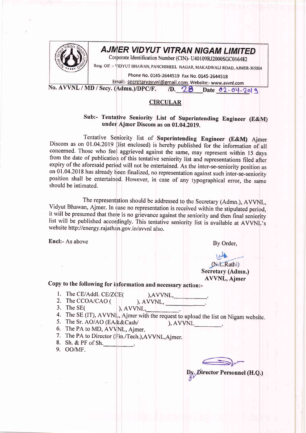

## **AJMER VIDYUT VITRAN NIGAM LIMITED**

Corporate Identification Number (CIN)- U40109RJ2000SGC016482

Resg. Off. :- VIDYUT BHAWAN, PANCHSHEEL NAGAR, MAKADWALI ROAD, AJMER-305004

Phone No. 0145-2644519 Fax No. 0145-2644518

Ernail:- secretaryavvnl@gmail.com, Website:- www.avvnl.com

No. AVVNL / MD / Secy. (Admn.)/DPC/F. 1D. 28 Date 02-04-2019

## **CIRCULAR**

## Sub:- Tentative Seniority List of Superintending Engineer (E&M) under Ajmer Discom as on 01.04.2019.

Tentative Seniority list of Superintending Engineer (E&M) Ajmer Discom as on 01.04.2019 (list enclosed) is hereby published for the information of all concerned. Those who feel aggrieved against the same, may represent within 15 days from the date of publication of this tentative seniority list and representations filed after expiry of the aforesaid period will not be entertained. As the inter-se-seniority position as on 01.04.2018 has already been finalized, no representation against such inter-se-seniority position shall be entertained. However, in case of any typographical error, the same should be intimated.

The representation should be addressed to the Secretary (Admn.), AVVNL, Vidyut Bhawan, Ajmer. In case no representation is received within the stipulated period, it will be presumed that there is no grievance against the seniority and then final seniority list will be published accordingly. This tentative seniority list is available at AVVNL's website http://energy.rajathan.gov.in/avvnl also.

Encl:- As above

By Order,

## $1/4$ (N.L.Rathi) Secretary (Admn.) **AVVNL**, Ajmer

Copy to the following for information and necessary action:-

1. The CE/Addl. CE/ZCE(

 $AVVNL$ ,  $(AVVNL, \_\_$ 

2. The CCOA/CAO (  $3.$  The SE $($ 

), AVVNL,

- 4. The SE (IT), AVVNL, Ajmer with the request to upload the list on Nigam website.
- 5. The Sr. AO/AO (EA&&Cash/  $AVVNL$  .
- 6. The PA to MD, AVVNL, Ajmer.
- 7. The PA to Director (Fin./Tech.), AVVNL, Ajmer.
- 8. Sh. & PF of Sh.
- 9. OO/MF.

Director Personnel (H.Q.)